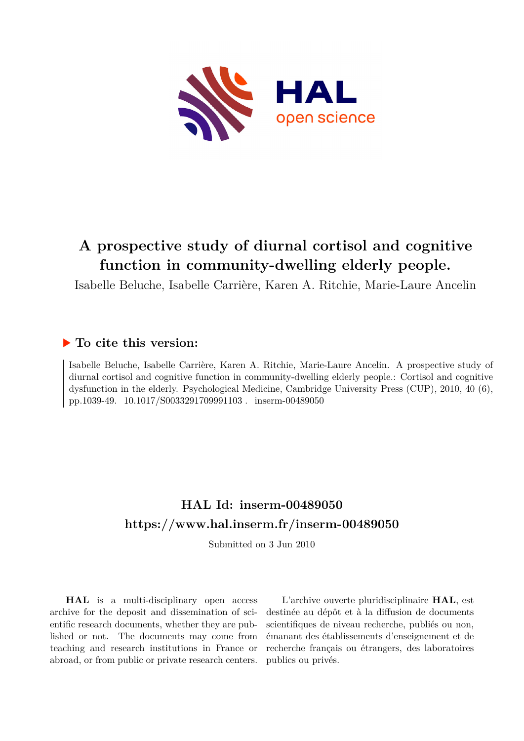

# **A prospective study of diurnal cortisol and cognitive function in community-dwelling elderly people.**

Isabelle Beluche, Isabelle Carrière, Karen A. Ritchie, Marie-Laure Ancelin

## **To cite this version:**

Isabelle Beluche, Isabelle Carrière, Karen A. Ritchie, Marie-Laure Ancelin. A prospective study of diurnal cortisol and cognitive function in community-dwelling elderly people.: Cortisol and cognitive dysfunction in the elderly. Psychological Medicine, Cambridge University Press (CUP), 2010, 40 (6), pp.1039-49. 10.1017/S0033291709991103. inserm-00489050

# **HAL Id: inserm-00489050 <https://www.hal.inserm.fr/inserm-00489050>**

Submitted on 3 Jun 2010

**HAL** is a multi-disciplinary open access archive for the deposit and dissemination of scientific research documents, whether they are published or not. The documents may come from teaching and research institutions in France or abroad, or from public or private research centers.

L'archive ouverte pluridisciplinaire **HAL**, est destinée au dépôt et à la diffusion de documents scientifiques de niveau recherche, publiés ou non, émanant des établissements d'enseignement et de recherche français ou étrangers, des laboratoires publics ou privés.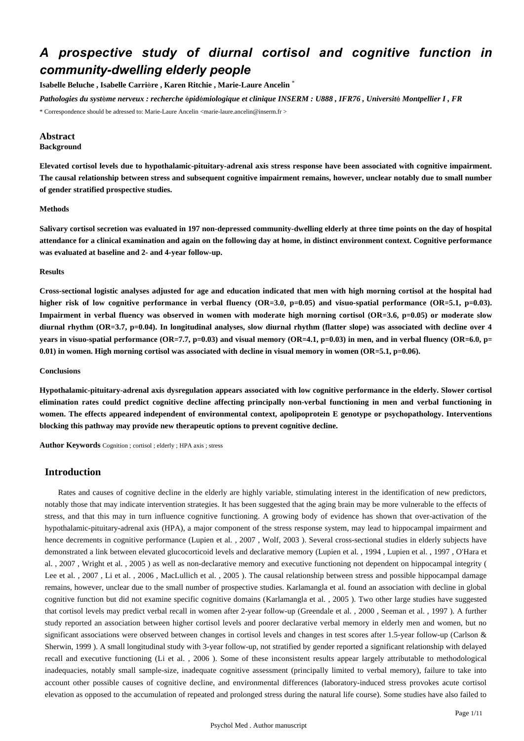## *A prospective study of diurnal cortisol and cognitive function in community-dwelling elderly people*

**Isabelle Beluche , Isabelle Carri**è**re , Karen Ritchie , Marie-Laure Ancelin** \*

*Pathologies du syst*è*me nerveux : recherche* é*pid*é*miologique et clinique INSERM : U888 , IFR76 , Universit*é *Montpellier I , FR*

\* Correspondence should be adressed to: Marie-Laure Ancelin <marie-laure.ancelin@inserm.fr >

## **Abstract**

## **Background**

**Elevated cortisol levels due to hypothalamic-pituitary-adrenal axis stress response have been associated with cognitive impairment. The causal relationship between stress and subsequent cognitive impairment remains, however, unclear notably due to small number of gender stratified prospective studies.**

## **Methods**

**Salivary cortisol secretion was evaluated in 197 non-depressed community-dwelling elderly at three time points on the day of hospital attendance for a clinical examination and again on the following day at home, in distinct environment context. Cognitive performance was evaluated at baseline and 2- and 4-year follow-up.**

#### **Results**

**Cross-sectional logistic analyses adjusted for age and education indicated that men with high morning cortisol at the hospital had higher risk of low cognitive performance in verbal fluency (OR**=**3.0, p**=**0.05) and visuo-spatial performance (OR**=**5.1, p**=**0.03). Impairment in verbal fluency was observed in women with moderate high morning cortisol (OR**=**3.6, p**=**0.05) or moderate slow diurnal rhythm (OR**=**3.7, p**=**0.04). In longitudinal analyses, slow diurnal rhythm (flatter slope) was associated with decline over 4 years in visuo-spatial performance (OR**=**7.7, p**=**0.03) and visual memory (OR**=**4.1, p**=**0.03) in men, and in verbal fluency (OR**=**6.0, p**= **0.01) in women. High morning cortisol was associated with decline in visual memory in women (OR**=**5.1, p**=**0.06).**

## **Conclusions**

**Hypothalamic-pituitary-adrenal axis dysregulation appears associated with low cognitive performance in the elderly. Slower cortisol elimination rates could predict cognitive decline affecting principally non-verbal functioning in men and verbal functioning in women. The effects appeared independent of environmental context, apolipoprotein E genotype or psychopathology. Interventions blocking this pathway may provide new therapeutic options to prevent cognitive decline.**

**Author Keywords** Cognition ; cortisol ; elderly ; HPA axis ; stress

## **Introduction**

Rates and causes of cognitive decline in the elderly are highly variable, stimulating interest in the identification of new predictors, notably those that may indicate intervention strategies. It has been suggested that the aging brain may be more vulnerable to the effects of stress, and that this may in turn influence cognitive functioning. A growing body of evidence has shown that over-activation of the hypothalamic-pituitary-adrenal axis (HPA), a major component of the stress response system, may lead to hippocampal impairment and hence decrements in cognitive performance (Lupien et al., 2007, Wolf, 2003). Several cross-sectional studies in elderly subjects have demonstrated a link between elevated glucocorticoid levels and declarative memory (Lupien et al. , 1994 , Lupien et al. , 1997 , O'Hara et al. , 2007 , Wright et al. , 2005 ) as well as non-declarative memory and executive functioning not dependent on hippocampal integrity ( Lee et al. , 2007 , Li et al. , 2006 , MacLullich et al. , 2005 ). The causal relationship between stress and possible hippocampal damage remains, however, unclear due to the small number of prospective studies. Karlamangla et al. found an association with decline in global cognitive function but did not examine specific cognitive domains (Karlamangla et al. , 2005 ). Two other large studies have suggested that cortisol levels may predict verbal recall in women after 2-year follow-up (Greendale et al. , 2000 , Seeman et al. , 1997 ). A further study reported an association between higher cortisol levels and poorer declarative verbal memory in elderly men and women, but no significant associations were observed between changes in cortisol levels and changes in test scores after 1.5-year follow-up (Carlson & Sherwin, 1999 ). A small longitudinal study with 3-year follow-up, not stratified by gender reported a significant relationship with delayed recall and executive functioning (Li et al. , 2006 ). Some of these inconsistent results appear largely attributable to methodological inadequacies, notably small sample-size, inadequate cognitive assessment (principally limited to verbal memory), failure to take into account other possible causes of cognitive decline, and environmental differences (laboratory-induced stress provokes acute cortisol elevation as opposed to the accumulation of repeated and prolonged stress during the natural life course). Some studies have also failed to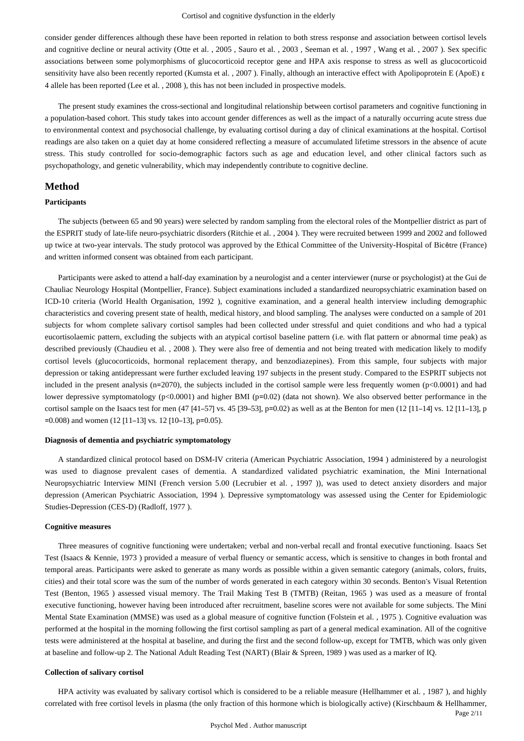consider gender differences although these have been reported in relation to both stress response and association between cortisol levels and cognitive decline or neural activity (Otte et al. , 2005 , Sauro et al. , 2003 , Seeman et al. , 1997 , Wang et al. , 2007 ). Sex specific associations between some polymorphisms of glucocorticoid receptor gene and HPA axis response to stress as well as glucocorticoid sensitivity have also been recently reported (Kumsta et al. , 2007 ). Finally, although an interactive effect with Apolipoprotein E (ApoE) ε 4 allele has been reported (Lee et al. , 2008 ), this has not been included in prospective models.

The present study examines the cross-sectional and longitudinal relationship between cortisol parameters and cognitive functioning in a population-based cohort. This study takes into account gender differences as well as the impact of a naturally occurring acute stress due to environmental context and psychosocial challenge, by evaluating cortisol during a day of clinical examinations at the hospital. Cortisol readings are also taken on a quiet day at home considered reflecting a measure of accumulated lifetime stressors in the absence of acute stress. This study controlled for socio-demographic factors such as age and education level, and other clinical factors such as psychopathology, and genetic vulnerability, which may independently contribute to cognitive decline.

## **Method**

#### **Participants**

The subjects (between 65 and 90 years) were selected by random sampling from the electoral roles of the Montpellier district as part of the ESPRIT study of late-life neuro-psychiatric disorders (Ritchie et al. , 2004 ). They were recruited between 1999 and 2002 and followed up twice at two-year intervals. The study protocol was approved by the Ethical Committee of the University-Hospital of Bicêtre (France) and written informed consent was obtained from each participant.

Participants were asked to attend a half-day examination by a neurologist and a center interviewer (nurse or psychologist) at the Gui de Chauliac Neurology Hospital (Montpellier, France). Subject examinations included a standardized neuropsychiatric examination based on ICD-10 criteria (World Health Organisation, 1992 ), cognitive examination, and a general health interview including demographic characteristics and covering present state of health, medical history, and blood sampling. The analyses were conducted on a sample of 201 subjects for whom complete salivary cortisol samples had been collected under stressful and quiet conditions and who had a typical eucortisolaemic pattern, excluding the subjects with an atypical cortisol baseline pattern (i.e. with flat pattern or abnormal time peak) as described previously (Chaudieu et al. , 2008 ). They were also free of dementia and not being treated with medication likely to modify cortisol levels (glucocorticoids, hormonal replacement therapy, and benzodiazepines). From this sample, four subjects with major depression or taking antidepressant were further excluded leaving 197 subjects in the present study. Compared to the ESPRIT subjects not included in the present analysis ( $n=2070$ ), the subjects included in the cortisol sample were less frequently women ( $p<0.0001$ ) and had lower depressive symptomatology (p<0.0001) and higher BMI (p=0.02) (data not shown). We also observed better performance in the cortisol sample on the Isaacs test for men (47 [41–57] vs. 45 [39–53], p=0.02) as well as at the Benton for men (12 [11–14] vs. 12 [11–13], p  $=0.008$ ) and women (12 [11–13] vs. 12 [10–13], p=0.05).

## **Diagnosis of dementia and psychiatric symptomatology**

A standardized clinical protocol based on DSM-IV criteria (American Psychiatric Association, 1994 ) administered by a neurologist was used to diagnose prevalent cases of dementia. A standardized validated psychiatric examination, the Mini International Neuropsychiatric Interview MINI (French version 5.00 (Lecrubier et al. , 1997 )), was used to detect anxiety disorders and major depression (American Psychiatric Association, 1994 ). Depressive symptomatology was assessed using the Center for Epidemiologic Studies-Depression (CES-D) (Radloff, 1977 ).

## **Cognitive measures**

Three measures of cognitive functioning were undertaken; verbal and non-verbal recall and frontal executive functioning. Isaacs Set Test (Isaacs & Kennie, 1973 ) provided a measure of verbal fluency or semantic access, which is sensitive to changes in both frontal and temporal areas. Participants were asked to generate as many words as possible within a given semantic category (animals, colors, fruits, cities) and their total score was the sum of the number of words generated in each category within 30 seconds. Benton's Visual Retention Test (Benton, 1965 ) assessed visual memory. The Trail Making Test B (TMTB) (Reitan, 1965 ) was used as a measure of frontal executive functioning, however having been introduced after recruitment, baseline scores were not available for some subjects. The Mini Mental State Examination (MMSE) was used as a global measure of cognitive function (Folstein et al. , 1975 ). Cognitive evaluation was performed at the hospital in the morning following the first cortisol sampling as part of a general medical examination. All of the cognitive tests were administered at the hospital at baseline, and during the first and the second follow-up, except for TMTB, which was only given at baseline and follow-up 2. The National Adult Reading Test (NART) (Blair & Spreen, 1989 ) was used as a marker of IQ.

## **Collection of salivary cortisol**

HPA activity was evaluated by salivary cortisol which is considered to be a reliable measure (Hellhammer et al. , 1987 ), and highly correlated with free cortisol levels in plasma (the only fraction of this hormone which is biologically active) (Kirschbaum & Hellhammer,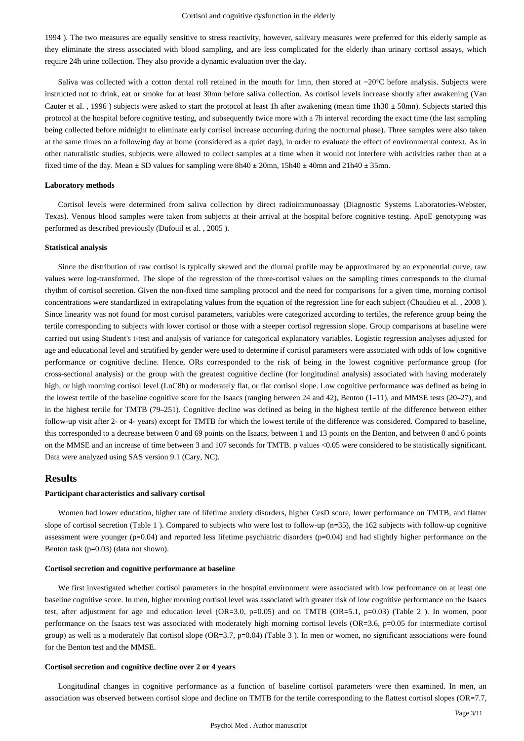1994 ). The two measures are equally sensitive to stress reactivity, however, salivary measures were preferred for this elderly sample as they eliminate the stress associated with blood sampling, and are less complicated for the elderly than urinary cortisol assays, which require 24h urine collection. They also provide a dynamic evaluation over the day.

Saliva was collected with a cotton dental roll retained in the mouth for 1mn, then stored at −20°C before analysis. Subjects were instructed not to drink, eat or smoke for at least 30mn before saliva collection. As cortisol levels increase shortly after awakening (Van Cauter et al. , 1996 ) subjects were asked to start the protocol at least 1h after awakening (mean time 1h30 ± 50mn). Subjects started this protocol at the hospital before cognitive testing, and subsequently twice more with a 7h interval recording the exact time (the last sampling being collected before midnight to eliminate early cortisol increase occurring during the nocturnal phase). Three samples were also taken at the same times on a following day at home (considered as a quiet day), in order to evaluate the effect of environmental context. As in other naturalistic studies, subjects were allowed to collect samples at a time when it would not interfere with activities rather than at a fixed time of the day. Mean ± SD values for sampling were 8h40 ± 20mn, 15h40 ± 40mn and 21h40 ± 35mn.

#### **Laboratory methods**

Cortisol levels were determined from saliva collection by direct radioimmunoassay (Diagnostic Systems Laboratories-Webster, Texas). Venous blood samples were taken from subjects at their arrival at the hospital before cognitive testing. ApoE genotyping was performed as described previously (Dufouil et al. , 2005 ).

## **Statistical analysis**

Since the distribution of raw cortisol is typically skewed and the diurnal profile may be approximated by an exponential curve, raw values were log-transformed. The slope of the regression of the three-cortisol values on the sampling times corresponds to the diurnal rhythm of cortisol secretion. Given the non-fixed time sampling protocol and the need for comparisons for a given time, morning cortisol concentrations were standardized in extrapolating values from the equation of the regression line for each subject (Chaudieu et al. , 2008 ). Since linearity was not found for most cortisol parameters, variables were categorized according to tertiles, the reference group being the tertile corresponding to subjects with lower cortisol or those with a steeper cortisol regression slope. Group comparisons at baseline were carried out using Student's t-test and analysis of variance for categorical explanatory variables. Logistic regression analyses adjusted for age and educational level and stratified by gender were used to determine if cortisol parameters were associated with odds of low cognitive performance or cognitive decline. Hence, ORs corresponded to the risk of being in the lowest cognitive performance group (for cross-sectional analysis) or the group with the greatest cognitive decline (for longitudinal analysis) associated with having moderately high, or high morning cortisol level (LnC8h) or moderately flat, or flat cortisol slope. Low cognitive performance was defined as being in the lowest tertile of the baseline cognitive score for the Isaacs (ranging between 24 and 42), Benton (1–11), and MMSE tests (20–27), and in the highest tertile for TMTB (79–251). Cognitive decline was defined as being in the highest tertile of the difference between either follow-up visit after 2- or 4- years) except for TMTB for which the lowest tertile of the difference was considered. Compared to baseline, this corresponded to a decrease between 0 and 69 points on the Isaacs, between 1 and 13 points on the Benton, and between 0 and 6 points on the MMSE and an increase of time between 3 and 107 seconds for TMTB. p values <0.05 were considered to be statistically significant. Data were analyzed using SAS version 9.1 (Cary, NC).

## **Results**

## **Participant characteristics and salivary cortisol**

Women had lower education, higher rate of lifetime anxiety disorders, higher CesD score, lower performance on TMTB, and flatter slope of cortisol secretion (Table 1 ). Compared to subjects who were lost to follow-up (n=35), the 162 subjects with follow-up cognitive assessment were younger (p=0.04) and reported less lifetime psychiatric disorders (p=0.04) and had slightly higher performance on the Benton task (p=0.03) (data not shown).

#### **Cortisol secretion and cognitive performance at baseline**

We first investigated whether cortisol parameters in the hospital environment were associated with low performance on at least one baseline cognitive score. In men, higher morning cortisol level was associated with greater risk of low cognitive performance on the Isaacs test, after adjustment for age and education level (OR=3.0, p=0.05) and on TMTB (OR=5.1, p=0.03) (Table 2 ). In women, poor performance on the Isaacs test was associated with moderately high morning cortisol levels (OR=3.6, p=0.05 for intermediate cortisol group) as well as a moderately flat cortisol slope (OR=3.7, p=0.04) (Table 3 ). In men or women, no significant associations were found for the Benton test and the MMSE.

#### **Cortisol secretion and cognitive decline over 2 or 4 years**

Longitudinal changes in cognitive performance as a function of baseline cortisol parameters were then examined. In men, an association was observed between cortisol slope and decline on TMTB for the tertile corresponding to the flattest cortisol slopes (OR=7.7,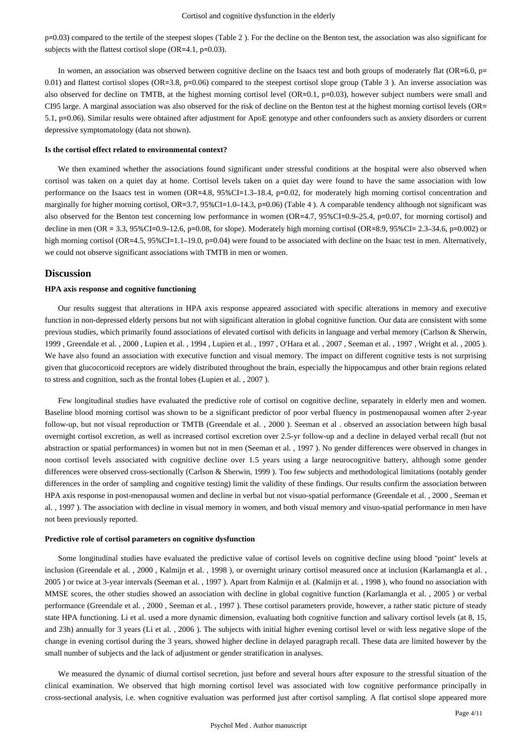p=0.03) compared to the tertile of the steepest slopes (Table 2 ). For the decline on the Benton test, the association was also significant for subjects with the flattest cortisol slope (OR=4.1, p=0.03).

In women, an association was observed between cognitive decline on the Isaacs test and both groups of moderately flat (OR=6.0, p= 0.01) and flattest cortisol slopes (OR=3.8, p=0.06) compared to the steepest cortisol slope group (Table 3 ). An inverse association was also observed for decline on TMTB, at the highest morning cortisol level (OR=0.1, p=0.03), however subject numbers were small and CI95 large. A marginal association was also observed for the risk of decline on the Benton test at the highest morning cortisol levels (OR= 5.1, p=0.06). Similar results were obtained after adjustment for ApoE genotype and other confounders such as anxiety disorders or current depressive symptomatology (data not shown).

#### **Is the cortisol effect related to environmental context?**

We then examined whether the associations found significant under stressful conditions at the hospital were also observed when cortisol was taken on a quiet day at home. Cortisol levels taken on a quiet day were found to have the same association with low performance on the Isaacs test in women (OR=4.8, 95%CI=1.3–18.4, p=0.02, for moderately high morning cortisol concentration and marginally for higher morning cortisol, OR=3.7, 95%CI=1.0–14.3, p=0.06) (Table 4). A comparable tendency although not significant was also observed for the Benton test concerning low performance in women (OR=4.7, 95%CI=0.9–25.4, p=0.07, for morning cortisol) and decline in men (OR = 3.3, 95%CI=0.9–12.6, p=0.08, for slope). Moderately high morning cortisol (OR=8.9, 95%CI= 2.3–34.6, p=0.002) or high morning cortisol (OR=4.5, 95%CI=1.1–19.0, p=0.04) were found to be associated with decline on the Isaac test in men. Alternatively, we could not observe significant associations with TMTB in men or women.

## **Discussion**

#### **HPA axis response and cognitive functioning**

Our results suggest that alterations in HPA axis response appeared associated with specific alterations in memory and executive function in non-depressed elderly persons but not with significant alteration in global cognitive function. Our data are consistent with some previous studies, which primarily found associations of elevated cortisol with deficits in language and verbal memory (Carlson & Sherwin, 1999 , Greendale et al. , 2000 , Lupien et al. , 1994 , Lupien et al. , 1997 , O'Hara et al. , 2007 , Seeman et al. , 1997 , Wright et al. , 2005 ). We have also found an association with executive function and visual memory. The impact on different cognitive tests is not surprising given that glucocorticoid receptors are widely distributed throughout the brain, especially the hippocampus and other brain regions related to stress and cognition, such as the frontal lobes (Lupien et al. , 2007 ).

Few longitudinal studies have evaluated the predictive role of cortisol on cognitive decline, separately in elderly men and women. Baseline blood morning cortisol was shown to be a significant predictor of poor verbal fluency in postmenopausal women after 2-year follow-up, but not visual reproduction or TMTB (Greendale et al. , 2000 ). Seeman et al . observed an association between high basal overnight cortisol excretion, as well as increased cortisol excretion over 2.5-yr follow-up and a decline in delayed verbal recall (but not abstraction or spatial performances) in women but not in men (Seeman et al. , 1997 ). No gender differences were observed in changes in noon cortisol levels associated with cognitive decline over 1.5 years using a large neurocognitive battery, although some gender differences were observed cross-sectionally (Carlson & Sherwin, 1999 ). Too few subjects and methodological limitations (notably gender differences in the order of sampling and cognitive testing) limit the validity of these findings. Our results confirm the association between HPA axis response in post-menopausal women and decline in verbal but not visuo-spatial performance (Greendale et al. , 2000 , Seeman et al. , 1997 ). The association with decline in visual memory in women, and both visual memory and visuo-spatial performance in men have not been previously reported.

#### **Predictive role of cortisol parameters on cognitive dysfunction**

Some longitudinal studies have evaluated the predictive value of cortisol levels on cognitive decline using blood "point" levels at inclusion (Greendale et al., 2000, Kalmijn et al., 1998), or overnight urinary cortisol measured once at inclusion (Karlamangla et al., 2005 ) or twice at 3-year intervals (Seeman et al. , 1997 ). Apart from Kalmijn et al. (Kalmijn et al. , 1998 ), who found no association with MMSE scores, the other studies showed an association with decline in global cognitive function (Karlamangla et al. , 2005 ) or verbal performance (Greendale et al. , 2000 , Seeman et al. , 1997 ). These cortisol parameters provide, however, a rather static picture of steady state HPA functioning. Li et al. used a more dynamic dimension, evaluating both cognitive function and salivary cortisol levels (at 8, 15, and 23h) annually for 3 years (Li et al. , 2006 ). The subjects with initial higher evening cortisol level or with less negative slope of the change in evening cortisol during the 3 years, showed higher decline in delayed paragraph recall. These data are limited however by the small number of subjects and the lack of adjustment or gender stratification in analyses.

We measured the dynamic of diurnal cortisol secretion, just before and several hours after exposure to the stressful situation of the clinical examination. We observed that high morning cortisol level was associated with low cognitive performance principally in cross-sectional analysis, i.e. when cognitive evaluation was performed just after cortisol sampling. A flat cortisol slope appeared more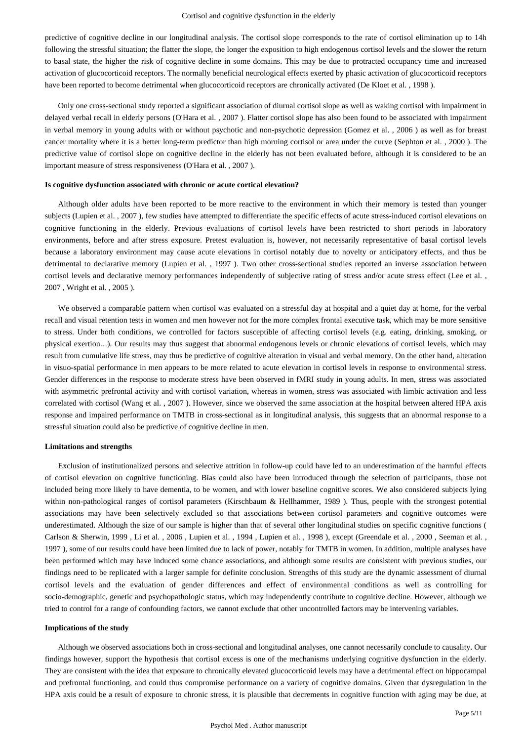predictive of cognitive decline in our longitudinal analysis. The cortisol slope corresponds to the rate of cortisol elimination up to 14h following the stressful situation; the flatter the slope, the longer the exposition to high endogenous cortisol levels and the slower the return to basal state, the higher the risk of cognitive decline in some domains. This may be due to protracted occupancy time and increased activation of glucocorticoid receptors. The normally beneficial neurological effects exerted by phasic activation of glucocorticoid receptors have been reported to become detrimental when glucocorticoid receptors are chronically activated (De Kloet et al. , 1998 ).

Only one cross-sectional study reported a significant association of diurnal cortisol slope as well as waking cortisol with impairment in delayed verbal recall in elderly persons (O'Hara et al. , 2007 ). Flatter cortisol slope has also been found to be associated with impairment in verbal memory in young adults with or without psychotic and non-psychotic depression (Gomez et al. , 2006 ) as well as for breast cancer mortality where it is a better long-term predictor than high morning cortisol or area under the curve (Sephton et al. , 2000 ). The predictive value of cortisol slope on cognitive decline in the elderly has not been evaluated before, although it is considered to be an important measure of stress responsiveness (O'Hara et al. , 2007 ).

#### **Is cognitive dysfunction associated with chronic or acute cortical elevation?**

Although older adults have been reported to be more reactive to the environment in which their memory is tested than younger subjects (Lupien et al. , 2007 ), few studies have attempted to differentiate the specific effects of acute stress-induced cortisol elevations on cognitive functioning in the elderly. Previous evaluations of cortisol levels have been restricted to short periods in laboratory environments, before and after stress exposure. Pretest evaluation is, however, not necessarily representative of basal cortisol levels because a laboratory environment may cause acute elevations in cortisol notably due to novelty or anticipatory effects, and thus be detrimental to declarative memory (Lupien et al. , 1997 ). Two other cross-sectional studies reported an inverse association between cortisol levels and declarative memory performances independently of subjective rating of stress and/or acute stress effect (Lee et al., 2007 , Wright et al. , 2005 ).

We observed a comparable pattern when cortisol was evaluated on a stressful day at hospital and a quiet day at home, for the verbal recall and visual retention tests in women and men however not for the more complex frontal executive task, which may be more sensitive to stress. Under both conditions, we controlled for factors susceptible of affecting cortisol levels (e.g. eating, drinking, smoking, or physical exertion…). Our results may thus suggest that abnormal endogenous levels or chronic elevations of cortisol levels, which may result from cumulative life stress, may thus be predictive of cognitive alteration in visual and verbal memory. On the other hand, alteration in visuo-spatial performance in men appears to be more related to acute elevation in cortisol levels in response to environmental stress. Gender differences in the response to moderate stress have been observed in fMRI study in young adults. In men, stress was associated with asymmetric prefrontal activity and with cortisol variation, whereas in women, stress was associated with limbic activation and less correlated with cortisol (Wang et al. , 2007 ). However, since we observed the same association at the hospital between altered HPA axis response and impaired performance on TMTB in cross-sectional as in longitudinal analysis, this suggests that an abnormal response to a stressful situation could also be predictive of cognitive decline in men.

#### **Limitations and strengths**

Exclusion of institutionalized persons and selective attrition in follow-up could have led to an underestimation of the harmful effects of cortisol elevation on cognitive functioning. Bias could also have been introduced through the selection of participants, those not included being more likely to have dementia, to be women, and with lower baseline cognitive scores. We also considered subjects lying within non-pathological ranges of cortisol parameters (Kirschbaum & Hellhammer, 1989). Thus, people with the strongest potential associations may have been selectively excluded so that associations between cortisol parameters and cognitive outcomes were underestimated. Although the size of our sample is higher than that of several other longitudinal studies on specific cognitive functions ( Carlson & Sherwin, 1999, Li et al., 2006, Lupien et al., 1994, Lupien et al., 1998), except (Greendale et al., 2000, Seeman et al., 1997 ), some of our results could have been limited due to lack of power, notably for TMTB in women. In addition, multiple analyses have been performed which may have induced some chance associations, and although some results are consistent with previous studies, our findings need to be replicated with a larger sample for definite conclusion. Strengths of this study are the dynamic assessment of diurnal cortisol levels and the evaluation of gender differences and effect of environmental conditions as well as controlling for socio-demographic, genetic and psychopathologic status, which may independently contribute to cognitive decline. However, although we tried to control for a range of confounding factors, we cannot exclude that other uncontrolled factors may be intervening variables.

#### **Implications of the study**

Although we observed associations both in cross-sectional and longitudinal analyses, one cannot necessarily conclude to causality. Our findings however, support the hypothesis that cortisol excess is one of the mechanisms underlying cognitive dysfunction in the elderly. They are consistent with the idea that exposure to chronically elevated glucocorticoid levels may have a detrimental effect on hippocampal and prefrontal functioning, and could thus compromise performance on a variety of cognitive domains. Given that dysregulation in the HPA axis could be a result of exposure to chronic stress, it is plausible that decrements in cognitive function with aging may be due, at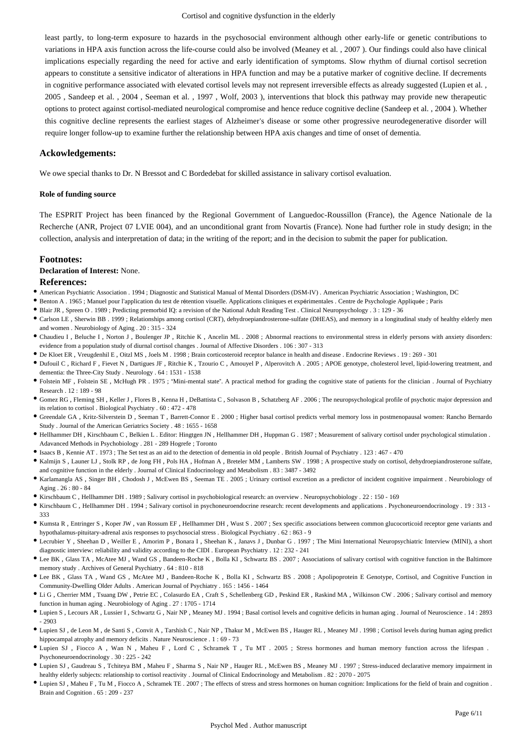least partly, to long-term exposure to hazards in the psychosocial environment although other early-life or genetic contributions to variations in HPA axis function across the life-course could also be involved (Meaney et al. , 2007 ). Our findings could also have clinical implications especially regarding the need for active and early identification of symptoms. Slow rhythm of diurnal cortisol secretion appears to constitute a sensitive indicator of alterations in HPA function and may be a putative marker of cognitive decline. If decrements in cognitive performance associated with elevated cortisol levels may not represent irreversible effects as already suggested (Lupien et al., 2005 , Sandeep et al. , 2004 , Seeman et al. , 1997 , Wolf, 2003 ), interventions that block this pathway may provide new therapeutic options to protect against cortisol-mediated neurological compromise and hence reduce cognitive decline (Sandeep et al. , 2004 ). Whether this cognitive decline represents the earliest stages of Alzheimer's disease or some other progressive neurodegenerative disorder will require longer follow-up to examine further the relationship between HPA axis changes and time of onset of dementia.

## **Ackowledgements:**

We owe special thanks to Dr. N Bressot and C Bordedebat for skilled assistance in salivary cortisol evaluation.

## **Role of funding source**

The ESPRIT Project has been financed by the Regional Government of Languedoc-Roussillon (France), the Agence Nationale de la Recherche (ANR, Project 07 LVIE 004), and an unconditional grant from Novartis (France). None had further role in study design; in the collection, analysis and interpretation of data; in the writing of the report; and in the decision to submit the paper for publication.

## **Footnotes:**

## **Declaration of Interest:** None.

#### **References:**

- American Psychiatric Association . 1994 ; Diagnostic and Statistical Manual of Mental Disorders (DSM-IV) . American Psychiatric Association ; Washington, DC
- Benton A . 1965 ; Manuel pour l'application du test de rétention visuelle. Applications cliniques et expérimentales . Centre de Psychologie Appliquée ; Paris
- Blair JR , Spreen O . 1989 ; Predicting premorbid IQ: a revision of the National Adult Reading Test . Clinical Neuropsychology . 3 : 129 36
- Carlson LE , Sherwin BB . 1999 ; Relationships among cortisol (CRT), dehydroepiandrosterone-sulfate (DHEAS), and memory in a longitudinal study of healthy elderly men and women . Neurobiology of Aging . 20 : 315 - 324
- Chaudieu I , Beluche I , Norton J , Boulenger JP , Ritchie K , Ancelin ML . 2008 ; Abnormal reactions to environmental stress in elderly persons with anxiety disorders: evidence from a population study of diurnal cortisol changes . Journal of Affective Disorders . 106 : 307 - 313
- De Kloet ER , Vreugdenhil E , Oitzl MS , Joels M . 1998 ; Brain corticosteroid receptor balance in health and disease . Endocrine Reviews . 19 : 269 301
- Dufouil C , Richard F , Fievet N , Dartigues JF , Ritchie K , Tzourio C , Amouyel P , Alperovitch A . 2005 ; APOE genotype, cholesterol level, lipid-lowering treatment, and dementia: the Three-City Study . Neurology . 64 : 1531 - 1538
- Folstein MF , Folstein SE , McHugh PR . 1975 ; "Mini-mental state". A practical method for grading the cognitive state of patients for the clinician . Journal of Psychiatry Research . 12 : 189 - 98
- Gomez RG , Fleming SH , Keller J , Flores B , Kenna H , DeBattista C , Solvason B , Schatzberg AF . 2006 ; The neuropsychological profile of psychotic major depression and its relation to cortisol . Biological Psychiatry . 60 : 472 - 478
- Greendale GA , Kritz-Silverstein D , Seeman T , Barrett-Connor E . 2000 ; Higher basal cortisol predicts verbal memory loss in postmenopausal women: Rancho Bernardo Study . Journal of the American Geriatrics Society . 48 : 1655 - 1658
- Hellhammer DH , Kirschbaum C , Belkien L . Editor: Hingtgen JN , Hellhammer DH , Huppman G . 1987 ; Measurement of salivary cortisol under psychological stimulation . Adavanced Methods in Psychobiology . 281 - 289 Hogrefe ; Toronto
- Isaacs B , Kennie AT . 1973 ; The Set test as an aid to the detection of dementia in old people . British Journal of Psychiatry . 123 : 467 470
- Kalmijn S , Launer LJ , Stolk RP , de Jong FH , Pols HA , Hofman A , Breteler MM , Lamberts SW . 1998 ; A prospective study on cortisol, dehydroepiandrosterone sulfate, and cognitive function in the elderly . Journal of Clinical Endocrinology and Metabolism . 83 : 3487 - 3492
- Karlamangla AS , Singer BH , Chodosh J , McEwen BS , Seeman TE . 2005 ; Urinary cortisol excretion as a predictor of incident cognitive impairment . Neurobiology of Aging . 26 : 80 - 84
- Kirschbaum C , Hellhammer DH . 1989 ; Salivary cortisol in psychobiological research: an overview . Neuropsychobiology . 22 : 150 169
- Kirschbaum C , Hellhammer DH . 1994 ; Salivary cortisol in psychoneuroendocrine research: recent developments and applications . Psychoneuroendocrinology . 19 : 313 333
- Kumsta R , Entringer S , Koper JW , van Rossum EF , Hellhammer DH , Wust S . 2007 ; Sex specific associations between common glucocorticoid receptor gene variants and hypothalamus-pituitary-adrenal axis responses to psychosocial stress . Biological Psychiatry . 62 : 863 - 9
- Lecrubier Y , Sheehan D , Weiller E , Amorim P , Bonara I , Sheehan K , Janavs J , Dunbar G . 1997 ; The Mini International Neuropsychiatric Interview (MINI), a short diagnostic interview: reliability and validity according to the CIDI . European Psychiatry . 12 : 232 - 241
- Lee BK , Glass TA , McAtee MJ , Wand GS , Bandeen-Roche K , Bolla KI , Schwartz BS . 2007 ; Associations of salivary cortisol with cognitive function in the Baltimore memory study . Archives of General Psychiatry . 64 : 810 - 818
- Lee BK , Glass TA , Wand GS , McAtee MJ , Bandeen-Roche K , Bolla KI , Schwartz BS . 2008 ; Apolipoprotein E Genotype, Cortisol, and Cognitive Function in Community-Dwelling Older Adults . American Journal of Psychiatry . 165 : 1456 - 1464
- Li G , Cherrier MM , Tsuang DW , Petrie EC , Colasurdo EA , Craft S , Schellenberg GD , Peskind ER , Raskind MA , Wilkinson CW . 2006 ; Salivary cortisol and memory function in human aging . Neurobiology of Aging . 27 : 1705 - 1714
- Lupien S , Lecours AR , Lussier I , Schwartz G , Nair NP , Meaney MJ . 1994 ; Basal cortisol levels and cognitive deficits in human aging . Journal of Neuroscience . 14 : 2893 - 2903
- Lupien SJ , de Leon M , de Santi S , Convit A , Tarshish C , Nair NP , Thakur M , McEwen BS , Hauger RL , Meaney MJ . 1998 ; Cortisol levels during human aging predict hippocampal atrophy and memory deficits . Nature Neuroscience . 1 : 69 - 73
- Lupien SJ , Fiocco A , Wan N , Maheu F , Lord C , Schramek T , Tu MT . 2005 ; Stress hormones and human memory function across the lifespan . Psychoneuroendocrinology . 30 : 225 - 242
- Lupien SJ , Gaudreau S , Tchiteya BM , Maheu F , Sharma S , Nair NP , Hauger RL , McEwen BS , Meaney MJ . 1997 ; Stress-induced declarative memory impairment in healthy elderly subjects: relationship to cortisol reactivity . Journal of Clinical Endocrinology and Metabolism . 82 : 2070 - 2075
- Lupien SJ , Maheu F , Tu M , Fiocco A , Schramek TE . 2007 ; The effects of stress and stress hormones on human cognition: Implications for the field of brain and cognition . Brain and Cognition . 65 : 209 - 237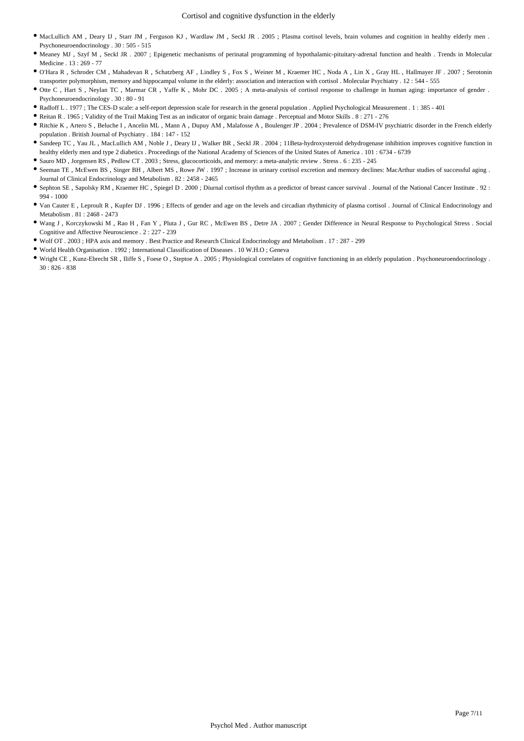- MacLullich AM , Deary IJ , Starr JM , Ferguson KJ , Wardlaw JM , Seckl JR . 2005 ; Plasma cortisol levels, brain volumes and cognition in healthy elderly men . Psychoneuroendocrinology . 30 : 505 - 515
- Meaney MJ , Szyf M , Seckl JR . 2007 ; Epigenetic mechanisms of perinatal programming of hypothalamic-pituitary-adrenal function and health . Trends in Molecular Medicine . 13 : 269 - 77
- O'Hara R , Schroder CM , Mahadevan R , Schatzberg AF , Lindley S , Fox S , Weiner M , Kraemer HC , Noda A , Lin X , Gray HL , Hallmayer JF . 2007 ; Serotonin transporter polymorphism, memory and hippocampal volume in the elderly: association and interaction with cortisol . Molecular Psychiatry . 12 : 544 - 555
- Otte C , Hart S , Neylan TC , Marmar CR , Yaffe K , Mohr DC . 2005 ; A meta-analysis of cortisol response to challenge in human aging: importance of gender . Psychoneuroendocrinology . 30 : 80 - 91
- Radloff L . 1977 ; The CES-D scale: a self-report depression scale for research in the general population . Applied Psychological Measurement . 1 : 385 401
- Reitan R . 1965 ; Validity of the Trail Making Test as an indicator of organic brain damage . Perceptual and Motor Skills . 8 : 271 276
- Ritchie K , Artero S , Beluche I , Ancelin ML , Mann A , Dupuy AM , Malafosse A , Boulenger JP . 2004 ; Prevalence of DSM-IV psychiatric disorder in the French elderly population . British Journal of Psychiatry . 184 : 147 - 152
- Sandeep TC , Yau JL , MacLullich AM , Noble J , Deary IJ , Walker BR , Seckl JR . 2004 ; 11Beta-hydroxysteroid dehydrogenase inhibition improves cognitive function in healthy elderly men and type 2 diabetics . Proceedings of the National Academy of Sciences of the United States of America . 101 : 6734 - 6739
- Sauro MD , Jorgensen RS , Pedlow CT . 2003 ; Stress, glucocorticoids, and memory: a meta-analytic review . Stress . 6 : 235 245
- Seeman TE , McEwen BS , Singer BH , Albert MS , Rowe JW . 1997 ; Increase in urinary cortisol excretion and memory declines: MacArthur studies of successful aging . Journal of Clinical Endocrinology and Metabolism . 82 : 2458 - 2465
- Sephton SE , Sapolsky RM , Kraemer HC , Spiegel D . 2000 ; Diurnal cortisol rhythm as a predictor of breast cancer survival . Journal of the National Cancer Institute . 92 : 994 - 1000
- Van Cauter E , Leproult R , Kupfer DJ . 1996 ; Effects of gender and age on the levels and circadian rhythmicity of plasma cortisol . Journal of Clinical Endocrinology and Metabolism . 81 : 2468 - 2473
- Wang J , Korczykowski M , Rao H , Fan Y , Pluta J , Gur RC , McEwen BS , Detre JA . 2007 ; Gender Difference in Neural Response to Psychological Stress . Social Cognitive and Affective Neuroscience . 2 : 227 - 239
- Wolf OT . 2003 ; HPA axis and memory . Best Practice and Research Clinical Endocrinology and Metabolism . 17 : 287 299
- World Health Organisation . 1992 ; International Classification of Diseases . 10 W.H.O ; Geneva
- Wright CE , Kunz-Ebrecht SR , Iliffe S , Foese O , Steptoe A . 2005 ; Physiological correlates of cognitive functioning in an elderly population . Psychoneuroendocrinology .  $30 \cdot 826 - 838$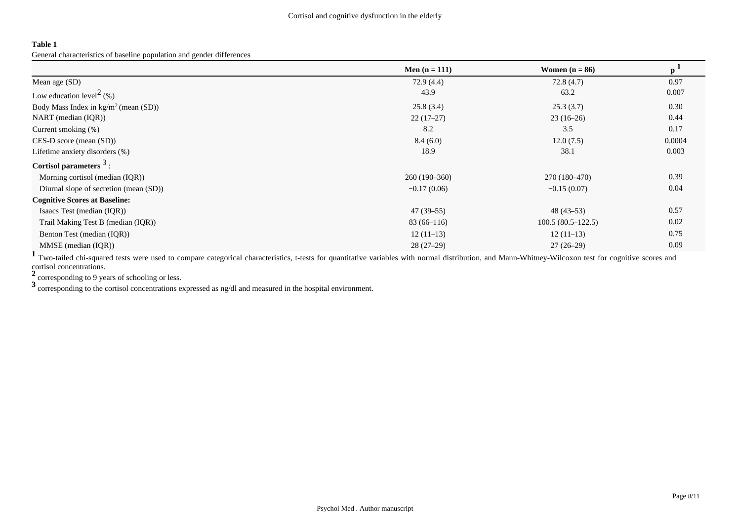General characteristics of baseline population and gender differences

|                                                | Men $(n = 111)$ | Women $(n = 86)$    | $\mathbf{p}^{\perp}$ |
|------------------------------------------------|-----------------|---------------------|----------------------|
| Mean age (SD)                                  | 72.9(4.4)       | 72.8(4.7)           | 0.97                 |
| Low education level <sup>2</sup> (%)           | 43.9            | 63.2                | 0.007                |
| Body Mass Index in $\text{kg/m}^2$ (mean (SD)) | 25.8(3.4)       | 25.3(3.7)           | 0.30                 |
| NART (median $(IQR)$ )                         | $22(17-27)$     | $23(16-26)$         | 0.44                 |
| Current smoking (%)                            | 8.2             | 3.5                 | 0.17                 |
| $CES-D score (mean (SD))$                      | 8.4(6.0)        | 12.0(7.5)           | 0.0004               |
| Lifetime anxiety disorders (%)                 | 18.9            | 38.1                | 0.003                |
| Cortisol parameters $3$ :                      |                 |                     |                      |
| Morning cortisol (median (IQR))                | $260(190-360)$  | 270 (180–470)       | 0.39                 |
| Diurnal slope of secretion (mean (SD))         | $-0.17(0.06)$   | $-0.15(0.07)$       | 0.04                 |
| <b>Cognitive Scores at Baseline:</b>           |                 |                     |                      |
| Isaacs Test (median (IQR))                     | $47(39-55)$     | $48(43-53)$         | 0.57                 |
| Trail Making Test B (median (IQR))             | $83(66-116)$    | $100.5(80.5-122.5)$ | 0.02                 |
| Benton Test (median (IQR))                     | $12(11-13)$     | $12(11-13)$         | 0.75                 |
| MMSE (median (IQR))                            | $28(27-29)$     | $27(26-29)$         | 0.09                 |

<sup>1</sup> Two-tailed chi-squared tests were used to compare categorical characteristics, t-tests for quantitative variables with normal distribution, and Mann-Whitney-Wilcoxon test for cognitive scores and cortisol concentrations.

**<sup>2</sup>**corresponding to 9 years of schooling or less.

**3** corresponding to the cortisol concentrations expressed as ng/dl and measured in the hospital environment.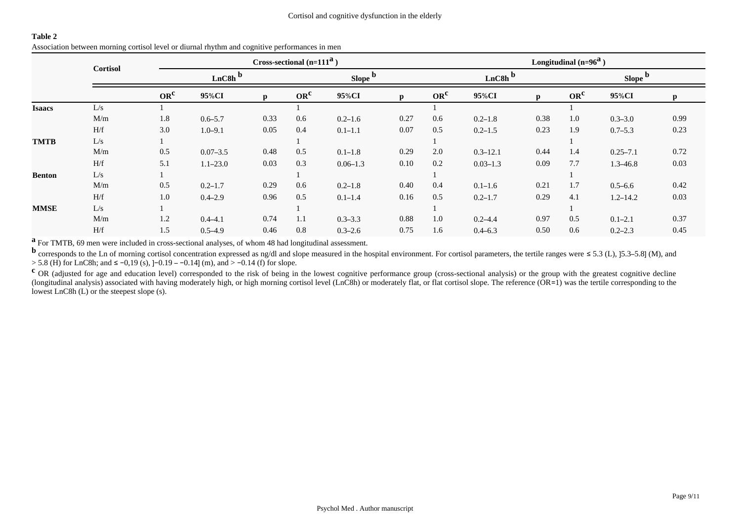|               | <b>Cortisol</b> |                      |              |              | Cross-sectional $(n=111^a)$ |              | Longitudinal $(n=96^a)$ |                 |                      |              |                 |              |      |  |  |
|---------------|-----------------|----------------------|--------------|--------------|-----------------------------|--------------|-------------------------|-----------------|----------------------|--------------|-----------------|--------------|------|--|--|
|               |                 | $LnC8h$ <sup>b</sup> |              |              |                             | Slope b      |                         |                 | $LnC8h$ <sup>b</sup> |              |                 | Slope b      |      |  |  |
|               |                 | OR <sup>c</sup>      | 95%CI        | $\mathbf{p}$ | OR <sup>c</sup>             | 95%CI        |                         | OR <sup>c</sup> | 95%CI                | $\mathbf{p}$ | OR <sup>c</sup> | 95%CI        |      |  |  |
| <b>Isaacs</b> | L/s             |                      |              |              |                             |              |                         |                 |                      |              |                 |              |      |  |  |
|               | M/m             | 1.8                  | $0.6 - 5.7$  | 0.33         | 0.6                         | $0.2 - 1.6$  | 0.27                    | 0.6             | $0.2 - 1.8$          | 0.38         | 1.0             | $0.3 - 3.0$  | 0.99 |  |  |
|               | H/f             | 3.0                  | $1.0 - 9.1$  | 0.05         | 0.4                         | $0.1 - 1.1$  | 0.07                    | 0.5             | $0.2 - 1.5$          | 0.23         | 1.9             | $0.7 - 5.3$  | 0.23 |  |  |
| <b>TMTB</b>   | L/s             |                      |              |              |                             |              |                         |                 |                      |              |                 |              |      |  |  |
|               | M/m             | 0.5                  | $0.07 - 3.5$ | 0.48         | 0.5                         | $0.1 - 1.8$  | 0.29                    | 2.0             | $0.3 - 12.1$         | 0.44         | 1.4             | $0.25 - 7.1$ | 0.72 |  |  |
|               | H/f             | 5.1                  | $1.1 - 23.0$ | 0.03         | 0.3                         | $0.06 - 1.3$ | 0.10                    | 0.2             | $0.03 - 1.3$         | 0.09         | 7.7             | $1.3 - 46.8$ | 0.03 |  |  |
| <b>Benton</b> | L/s             |                      |              |              |                             |              |                         |                 |                      |              |                 |              |      |  |  |
|               | M/m             | 0.5                  | $0.2 - 1.7$  | 0.29         | 0.6                         | $0.2 - 1.8$  | 0.40                    | 0.4             | $0.1 - 1.6$          | 0.21         | 1.7             | $0.5 - 6.6$  | 0.42 |  |  |
|               | H/f             | 1.0                  | $0.4 - 2.9$  | 0.96         | 0.5                         | $0.1 - 1.4$  | 0.16                    | 0.5             | $0.2 - 1.7$          | 0.29         | 4.1             | $1.2 - 14.2$ | 0.03 |  |  |
| <b>MMSE</b>   | L/s             |                      |              |              |                             |              |                         |                 |                      |              |                 |              |      |  |  |
|               | M/m             | 1.2                  | $0.4 - 4.1$  | 0.74         | 1.1                         | $0.3 - 3.3$  | 0.88                    | 1.0             | $0.2 - 4.4$          | 0.97         | 0.5             | $0.1 - 2.1$  | 0.37 |  |  |
|               | H/f             | 1.5                  | $0.5 - 4.9$  | 0.46         | 0.8                         | $0.3 - 2.6$  | 0.75                    | 1.6             | $0.4 - 6.3$          | 0.50         | 0.6             | $0.2 - 2.3$  | 0.45 |  |  |

**a** For TMTB, 69 men were included in cross-sectional analyses, of whom 48 had longitudinal assessment.

**b** corresponds to the Ln of morning cortisol concentration expressed as ng/dl and slope measured in the hospital environment. For cortisol parameters, the tertile ranges were ≤ 5.3 (L), ]5.3–5.8] (M), and > 5.8 (H) for LnC8h; and ≤ −0,19 (s), ]−0.19 – −0.14] (m), and > −0.14 (f) for slope.

**c** OR (adjusted for age and education level) corresponded to the risk of being in the lowest cognitive performance group (cross-sectional analysis) or the group with the greatest cognitive decline (longitudinal analysis) associated with having moderately high, or high morning cortisol level (LnC8h) or moderately flat, or flat cortisol slope. The reference (OR=1) was the tertile corresponding to the lowest LnC8h (L) or the steepest slope (s).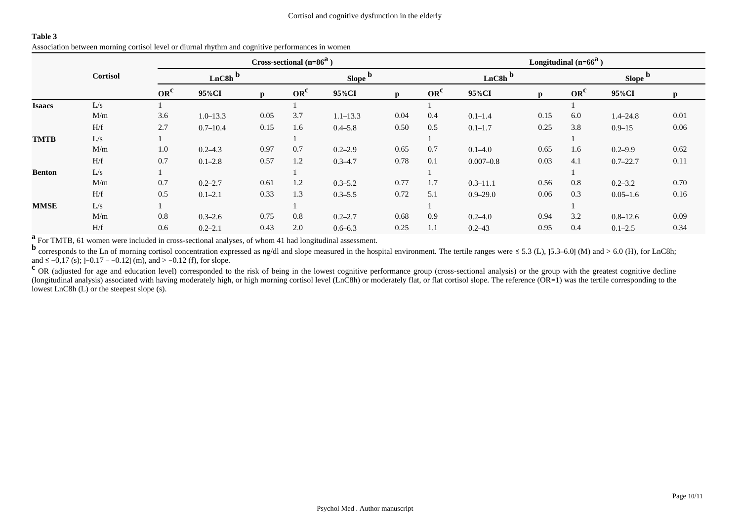| Association between morning cortisol level or diurnal rhythm and cognitive performances in women |  |
|--------------------------------------------------------------------------------------------------|--|
|--------------------------------------------------------------------------------------------------|--|

|               |                 |                      |              |      | Cross-sectional $(n=86^a)$ |              |      | Longitudinal $(n=66^a)$ |                      |              |                 |              |          |  |  |
|---------------|-----------------|----------------------|--------------|------|----------------------------|--------------|------|-------------------------|----------------------|--------------|-----------------|--------------|----------|--|--|
|               | <b>Cortisol</b> | $LnC8h$ <sup>b</sup> |              |      |                            | Slope b      |      |                         | $LnC8h$ <sup>b</sup> |              | Slope b         |              |          |  |  |
|               |                 | OR <sup>c</sup>      | 95%CI        | n    | OR <sup>c</sup>            | 95%CI        | p    | OR <sup>c</sup>         | 95%CI                | $\mathbf{D}$ | OR <sup>c</sup> | 95%CI        | n.       |  |  |
| <b>Isaacs</b> | L/s             |                      |              |      |                            |              |      |                         |                      |              |                 |              |          |  |  |
|               | M/m             | 3.6                  | $1.0 - 13.3$ | 0.05 | 3.7                        | $1.1 - 13.3$ | 0.04 | 0.4                     | $0.1 - 1.4$          | 0.15         | 6.0             | $1.4 - 24.8$ | 0.01     |  |  |
|               | H/f             | 2.7                  | $0.7 - 10.4$ | 0.15 | 1.6                        | $0.4 - 5.8$  | 0.50 | 0.5                     | $0.1 - 1.7$          | 0.25         | 3.8             | $0.9 - 15$   | $0.06\,$ |  |  |
| <b>TMTB</b>   | L/s             |                      |              |      |                            |              |      |                         |                      |              |                 |              |          |  |  |
|               | M/m             | 1.0                  | $0.2 - 4.3$  | 0.97 | 0.7                        | $0.2 - 2.9$  | 0.65 | 0.7                     | $0.1 - 4.0$          | 0.65         | 1.6             | $0.2 - 9.9$  | 0.62     |  |  |
|               | H/f             | 0.7                  | $0.1 - 2.8$  | 0.57 | 1.2                        | $0.3 - 4.7$  | 0.78 | 0.1                     | $0.007 - 0.8$        | 0.03         | 4.1             | $0.7 - 22.7$ | 0.11     |  |  |
| <b>Benton</b> | L/s             |                      |              |      |                            |              |      |                         |                      |              |                 |              |          |  |  |
|               | M/m             | 0.7                  | $0.2 - 2.7$  | 0.61 | 1.2                        | $0.3 - 5.2$  | 0.77 | 1.7                     | $0.3 - 11.1$         | 0.56         | 0.8             | $0.2 - 3.2$  | 0.70     |  |  |
|               | H/f             | 0.5                  | $0.1 - 2.1$  | 0.33 | 1.3                        | $0.3 - 5.5$  | 0.72 | 5.1                     | $0.9 - 29.0$         | 0.06         | 0.3             | $0.05 - 1.6$ | 0.16     |  |  |
| <b>MMSE</b>   | L/s             |                      |              |      |                            |              |      |                         |                      |              |                 |              |          |  |  |
|               | M/m             | 0.8                  | $0.3 - 2.6$  | 0.75 | 0.8                        | $0.2 - 2.7$  | 0.68 | 0.9                     | $0.2 - 4.0$          | 0.94         | 3.2             | $0.8 - 12.6$ | 0.09     |  |  |
|               | H/f             | 0.6                  | $0.2 - 2.1$  | 0.43 | 2.0                        | $0.6 - 6.3$  | 0.25 | 1.1                     | $0.2 - 43$           | 0.95         | 0.4             | $0.1 - 2.5$  | 0.34     |  |  |

**a** For TMTB, 61 women were included in cross-sectional analyses, of whom 41 had longitudinal assessment.

**b** corresponds to the Ln of morning cortisol concentration expressed as ng/dl and slope measured in the hospital environment. The tertile ranges were ≤ 5.3 (L), ]5.3–6.0] (M) and > 6.0 (H), for LnC8h; and ≤ −0,17 (s); ]−0.17 – −0.12] (m), and > −0.12 (f), for slope.

**c** OR (adjusted for age and education level) corresponded to the risk of being in the lowest cognitive performance group (cross-sectional analysis) or the group with the greatest cognitive decline (longitudinal analysis) associated with having moderately high, or high morning cortisol level (LnC8h) or moderately flat, or flat cortisol slope. The reference (OR=1) was the tertile corresponding to the lowest LnC8h (L) or the steepest slope (s).